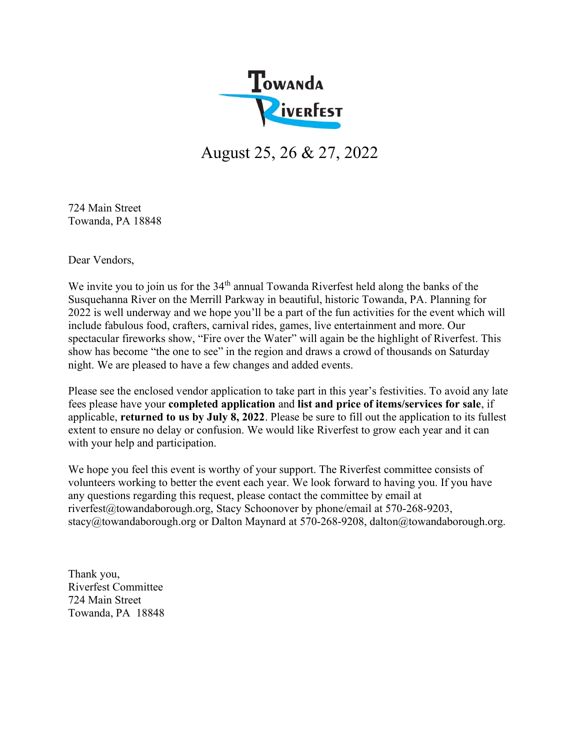

August 25, 26 & 27, 2022

724 Main Street Towanda, PA 18848

Dear Vendors,

We invite you to join us for the 34<sup>th</sup> annual Towanda Riverfest held along the banks of the Susquehanna River on the Merrill Parkway in beautiful, historic Towanda, PA. Planning for 2022 is well underway and we hope you'll be a part of the fun activities for the event which will include fabulous food, crafters, carnival rides, games, live entertainment and more. Our spectacular fireworks show, "Fire over the Water" will again be the highlight of Riverfest. This show has become "the one to see" in the region and draws a crowd of thousands on Saturday night. We are pleased to have a few changes and added events.

Please see the enclosed vendor application to take part in this year's festivities. To avoid any late fees please have your completed application and list and price of items/services for sale, if applicable, returned to us by July 8, 2022. Please be sure to fill out the application to its fullest extent to ensure no delay or confusion. We would like Riverfest to grow each year and it can with your help and participation.

We hope you feel this event is worthy of your support. The Riverfest committee consists of volunteers working to better the event each year. We look forward to having you. If you have any questions regarding this request, please contact the committee by email at riverfest@towandaborough.org, Stacy Schoonover by phone/email at 570-268-9203, stacy@towandaborough.org or Dalton Maynard at 570-268-9208, dalton@towandaborough.org.

Thank you, Riverfest Committee 724 Main Street Towanda, PA 18848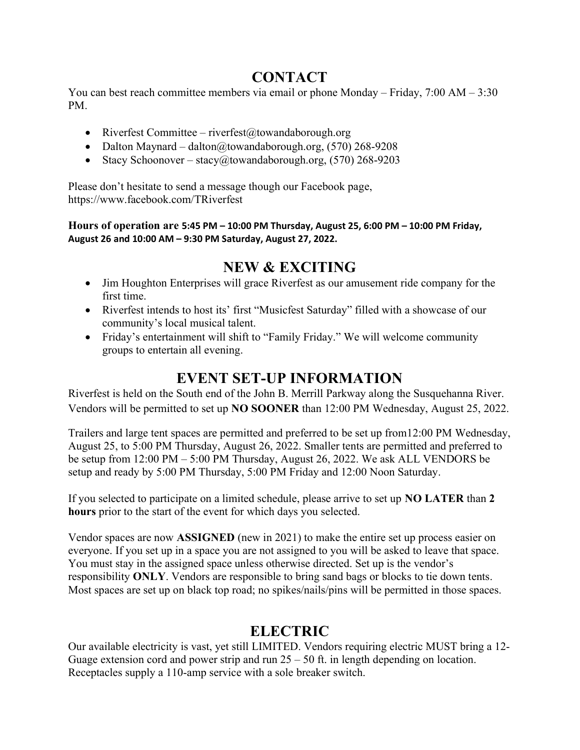#### **CONTACT**

You can best reach committee members via email or phone Monday – Friday, 7:00 AM – 3:30 PM.

- Riverfest Committee riverfest@towandaborough.org
- Dalton Maynard dalton@towandaborough.org,  $(570)$  268-9208
- Stacy Schoonover stacy@towandaborough.org,  $(570)$  268-9203

Please don't hesitate to send a message though our Facebook page, https://www.facebook.com/TRiverfest

Hours of operation are 5:45 PM – 10:00 PM Thursday, August 25, 6:00 PM – 10:00 PM Friday, August 26 and 10:00 AM – 9:30 PM Saturday, August 27, 2022.

## NEW & EXCITING

- Jim Houghton Enterprises will grace Riverfest as our amusement ride company for the first time.
- Riverfest intends to host its' first "Musicfest Saturday" filled with a showcase of our community's local musical talent.
- Friday's entertainment will shift to "Family Friday." We will welcome community groups to entertain all evening.

#### EVENT SET-UP INFORMATION

Riverfest is held on the South end of the John B. Merrill Parkway along the Susquehanna River. Vendors will be permitted to set up NO SOONER than 12:00 PM Wednesday, August 25, 2022.

Trailers and large tent spaces are permitted and preferred to be set up from12:00 PM Wednesday, August 25, to 5:00 PM Thursday, August 26, 2022. Smaller tents are permitted and preferred to be setup from 12:00 PM – 5:00 PM Thursday, August 26, 2022. We ask ALL VENDORS be setup and ready by 5:00 PM Thursday, 5:00 PM Friday and 12:00 Noon Saturday.

If you selected to participate on a limited schedule, please arrive to set up NO LATER than 2 hours prior to the start of the event for which days you selected.

Vendor spaces are now ASSIGNED (new in 2021) to make the entire set up process easier on everyone. If you set up in a space you are not assigned to you will be asked to leave that space. You must stay in the assigned space unless otherwise directed. Set up is the vendor's responsibility ONLY. Vendors are responsible to bring sand bags or blocks to tie down tents. Most spaces are set up on black top road; no spikes/nails/pins will be permitted in those spaces.

#### **ELECTRIC**

Our available electricity is vast, yet still LIMITED. Vendors requiring electric MUST bring a 12- Guage extension cord and power strip and run  $25 - 50$  ft. in length depending on location. Receptacles supply a 110-amp service with a sole breaker switch.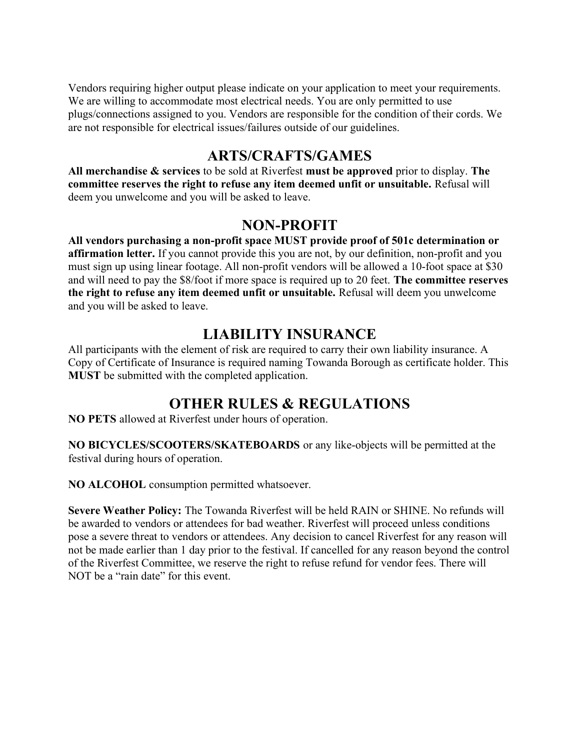Vendors requiring higher output please indicate on your application to meet your requirements. We are willing to accommodate most electrical needs. You are only permitted to use plugs/connections assigned to you. Vendors are responsible for the condition of their cords. We are not responsible for electrical issues/failures outside of our guidelines.

#### ARTS/CRAFTS/GAMES

All merchandise  $\&$  services to be sold at Riverfest must be approved prior to display. The committee reserves the right to refuse any item deemed unfit or unsuitable. Refusal will deem you unwelcome and you will be asked to leave.

#### NON-PROFIT

All vendors purchasing a non-profit space MUST provide proof of 501c determination or affirmation letter. If you cannot provide this you are not, by our definition, non-profit and you must sign up using linear footage. All non-profit vendors will be allowed a 10-foot space at \$30 and will need to pay the \$8/foot if more space is required up to 20 feet. The committee reserves the right to refuse any item deemed unfit or unsuitable. Refusal will deem you unwelcome and you will be asked to leave.

## LIABILITY INSURANCE

All participants with the element of risk are required to carry their own liability insurance. A Copy of Certificate of Insurance is required naming Towanda Borough as certificate holder. This MUST be submitted with the completed application.

# OTHER RULES & REGULATIONS

NO PETS allowed at Riverfest under hours of operation.

NO BICYCLES/SCOOTERS/SKATEBOARDS or any like-objects will be permitted at the festival during hours of operation.

NO ALCOHOL consumption permitted whatsoever.

Severe Weather Policy: The Towanda Riverfest will be held RAIN or SHINE. No refunds will be awarded to vendors or attendees for bad weather. Riverfest will proceed unless conditions pose a severe threat to vendors or attendees. Any decision to cancel Riverfest for any reason will not be made earlier than 1 day prior to the festival. If cancelled for any reason beyond the control of the Riverfest Committee, we reserve the right to refuse refund for vendor fees. There will NOT be a "rain date" for this event.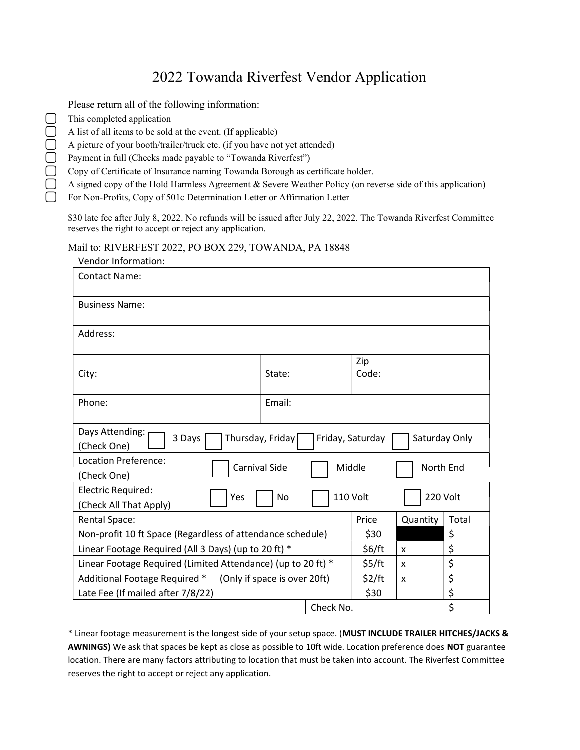# 2022 Towanda Riverfest Vendor Application

| Please return all of the following information:                                                            |
|------------------------------------------------------------------------------------------------------------|
| This completed application                                                                                 |
| A list of all items to be sold at the event. (If applicable)                                               |
| A picture of your booth/trailer/truck etc. (if you have not yet attended)                                  |
| Payment in full (Checks made payable to "Towanda Riverfest")                                               |
| Copy of Certificate of Insurance naming Towanda Borough as certificate holder.                             |
| A signed copy of the Hold Harmless Agreement & Severe Weather Policy (on reverse side of this application) |
| For Non-Profits, Copy of 501c Determination Letter or Affirmation Letter                                   |
|                                                                                                            |

\$30 late fee after July 8, 2022. No refunds will be issued after July 22, 2022. The Towanda Riverfest Committee reserves the right to accept or reject any application.

#### Mail to: RIVERFEST 2022, PO BOX 229, TOWANDA, PA 18848

✔

| Vendor Information:                                                                               |        |  |           |          |       |  |  |  |
|---------------------------------------------------------------------------------------------------|--------|--|-----------|----------|-------|--|--|--|
| <b>Contact Name:</b>                                                                              |        |  |           |          |       |  |  |  |
|                                                                                                   |        |  |           |          |       |  |  |  |
| <b>Business Name:</b>                                                                             |        |  |           |          |       |  |  |  |
|                                                                                                   |        |  |           |          |       |  |  |  |
| Address:                                                                                          |        |  |           |          |       |  |  |  |
|                                                                                                   |        |  |           |          |       |  |  |  |
|                                                                                                   | State: |  | Zip       |          |       |  |  |  |
| City:                                                                                             |        |  | Code:     |          |       |  |  |  |
| Phone:                                                                                            | Email: |  |           |          |       |  |  |  |
|                                                                                                   |        |  |           |          |       |  |  |  |
| Days Attending:<br>3 Days<br>Thursday, Friday<br>Saturday Only<br>Friday, Saturday<br>(Check One) |        |  |           |          |       |  |  |  |
|                                                                                                   |        |  |           |          |       |  |  |  |
| Location Preference:<br><b>Carnival Side</b><br>Middle<br>(Check One)                             |        |  |           |          |       |  |  |  |
|                                                                                                   |        |  | North End |          |       |  |  |  |
| Electric Required:<br>110 Volt<br>Yes<br>No                                                       |        |  |           | 220 Volt |       |  |  |  |
| (Check All That Apply)                                                                            |        |  |           |          |       |  |  |  |
| Rental Space:                                                                                     |        |  | Price     | Quantity | Total |  |  |  |
| Non-profit 10 ft Space (Regardless of attendance schedule)                                        |        |  |           |          | \$    |  |  |  |
| Linear Footage Required (All 3 Days) (up to 20 ft) *                                              |        |  |           | X        | \$    |  |  |  |
| Linear Footage Required (Limited Attendance) (up to 20 ft) *<br>\$5/ft<br>x                       |        |  |           |          | \$    |  |  |  |
| Additional Footage Required *<br>(Only if space is over 20ft)<br>\$2/ft<br>X                      |        |  |           |          | \$    |  |  |  |
| Late Fee (If mailed after 7/8/22)<br>\$30                                                         |        |  |           |          | \$    |  |  |  |
| Check No.                                                                                         |        |  |           | \$       |       |  |  |  |

\* Linear footage measurement is the longest side of your setup space. (MUST INCLUDE TRAILER HITCHES/JACKS & AWNINGS) We ask that spaces be kept as close as possible to 10ft wide. Location preference does NOT guarantee location. There are many factors attributing to location that must be taken into account. The Riverfest Committee reserves the right to accept or reject any application.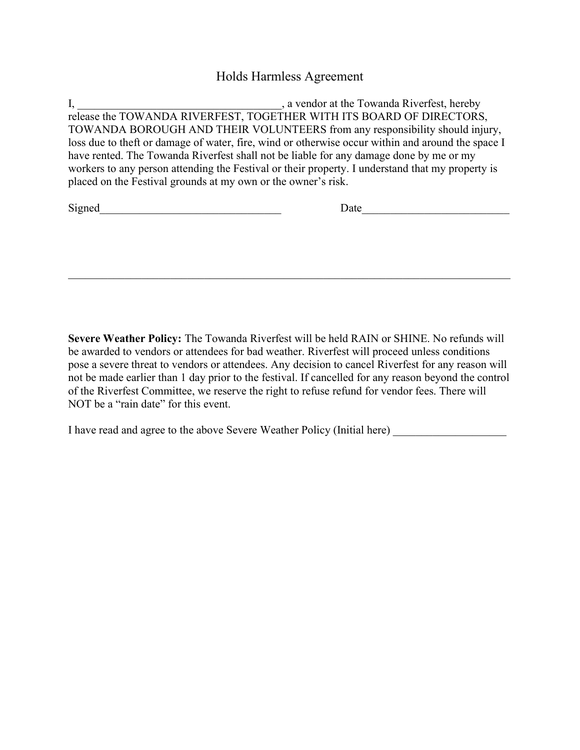#### Holds Harmless Agreement

I, 1, 2003, 1, 2008, 1, 2008, 1, 2008, 1, 2008, 1, 2008, 1, 2008, 1, 2008, 1, 2008, 1, 2008, 1, 2008, 1, 2008, 1, 2008, 1, 2008, 1, 2008, 2008, 2009, 2008, 2009, 2009, 2009, 2009, 2009, 2009, 2009, 2009, 2009, 2009, 2009, release the TOWANDA RIVERFEST, TOGETHER WITH ITS BOARD OF DIRECTORS, TOWANDA BOROUGH AND THEIR VOLUNTEERS from any responsibility should injury, loss due to theft or damage of water, fire, wind or otherwise occur within and around the space I have rented. The Towanda Riverfest shall not be liable for any damage done by me or my workers to any person attending the Festival or their property. I understand that my property is placed on the Festival grounds at my own or the owner's risk.

| Signed |  |
|--------|--|
|        |  |

| r.<br>Signed |  |
|--------------|--|
|--------------|--|

Severe Weather Policy: The Towanda Riverfest will be held RAIN or SHINE. No refunds will be awarded to vendors or attendees for bad weather. Riverfest will proceed unless conditions pose a severe threat to vendors or attendees. Any decision to cancel Riverfest for any reason will not be made earlier than 1 day prior to the festival. If cancelled for any reason beyond the control of the Riverfest Committee, we reserve the right to refuse refund for vendor fees. There will NOT be a "rain date" for this event.

I have read and agree to the above Severe Weather Policy (Initial here) \_\_\_\_\_\_\_\_\_\_\_\_\_\_\_\_\_\_\_\_